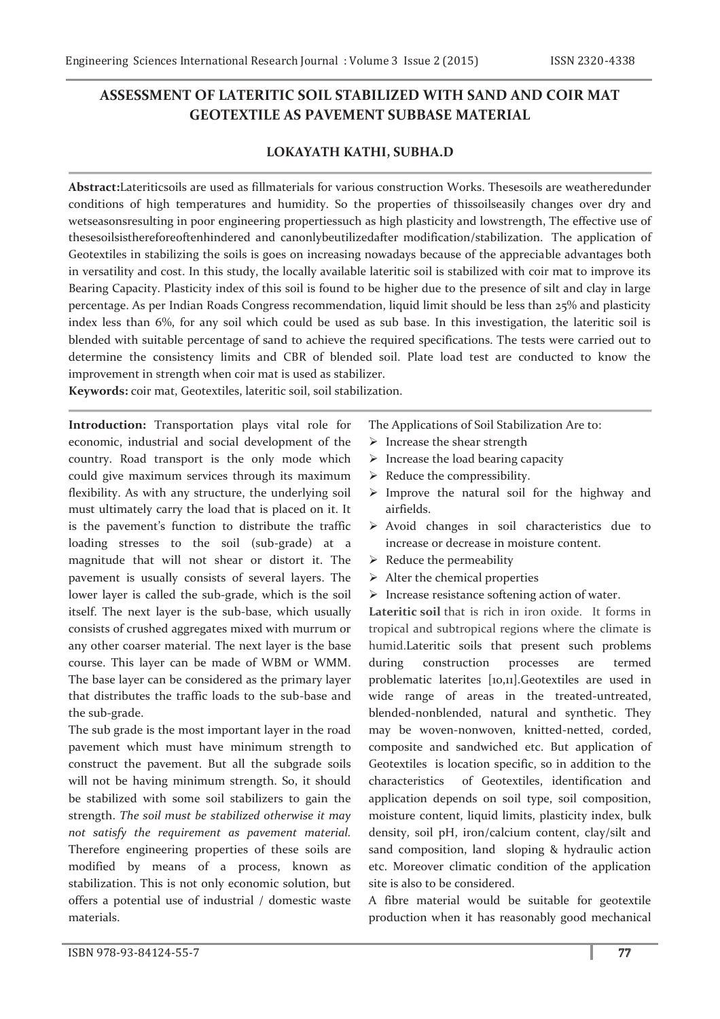# **ASSESSMENT OF LATERITIC SOIL STABILIZED WITH SAND AND COIR MAT GEOTEXTILE AS PAVEMENT SUBBASE MATERIAL**

## **LOKAYATH KATHI, SUBHA.D**

**Abstract:**Lateriticsoils are used as fillmaterials for various construction Works. Thesesoils are weatheredunder conditions of high temperatures and humidity. So the properties of thissoilseasily changes over dry and wetseasonsresulting in poor engineering propertiessuch as high plasticity and lowstrength, The effective use of thesesoilsisthereforeoftenhindered and canonlybeutilizedafter modification/stabilization. The application of Geotextiles in stabilizing the soils is goes on increasing nowadays because of the appreciable advantages both in versatility and cost. In this study, the locally available lateritic soil is stabilized with coir mat to improve its Bearing Capacity. Plasticity index of this soil is found to be higher due to the presence of silt and clay in large percentage. As per Indian Roads Congress recommendation, liquid limit should be less than 25% and plasticity index less than 6%, for any soil which could be used as sub base. In this investigation, the lateritic soil is blended with suitable percentage of sand to achieve the required specifications. The tests were carried out to determine the consistency limits and CBR of blended soil. Plate load test are conducted to know the improvement in strength when coir mat is used as stabilizer.

**Keywords:** coir mat, Geotextiles, lateritic soil, soil stabilization.

**Introduction:** Transportation plays vital role for economic, industrial and social development of the country. Road transport is the only mode which could give maximum services through its maximum flexibility. As with any structure, the underlying soil must ultimately carry the load that is placed on it. It is the pavement's function to distribute the traffic loading stresses to the soil (sub-grade) at a magnitude that will not shear or distort it. The pavement is usually consists of several layers. The lower layer is called the sub-grade, which is the soil itself. The next layer is the sub-base, which usually consists of crushed aggregates mixed with murrum or any other coarser material. The next layer is the base course. This layer can be made of WBM or WMM. The base layer can be considered as the primary layer that distributes the traffic loads to the sub-base and the sub-grade.

The sub grade is the most important layer in the road pavement which must have minimum strength to construct the pavement. But all the subgrade soils will not be having minimum strength. So, it should be stabilized with some soil stabilizers to gain the strength. *The soil must be stabilized otherwise it may not satisfy the requirement as pavement material.* Therefore engineering properties of these soils are modified by means of a process, known as stabilization. This is not only economic solution, but offers a potential use of industrial / domestic waste materials.

- The Applications of Soil Stabilization Are to:
- $\triangleright$  Increase the shear strength
- $\triangleright$  Increase the load bearing capacity
- $\triangleright$  Reduce the compressibility.
- $\triangleright$  Improve the natural soil for the highway and airfields.
- $\triangleright$  Avoid changes in soil characteristics due to increase or decrease in moisture content.
- $\triangleright$  Reduce the permeability
- $\triangleright$  Alter the chemical properties
- $\triangleright$  Increase resistance softening action of water.

**Lateritic soil** that is rich in iron oxide. It forms in tropical and subtropical regions where the climate is humid.Lateritic soils that present such problems during construction processes are termed problematic laterites [10,11].Geotextiles are used in wide range of areas in the treated-untreated, blended-nonblended, natural and synthetic. They may be woven-nonwoven, knitted-netted, corded, composite and sandwiched etc. But application of Geotextiles is location specific, so in addition to the characteristics of Geotextiles, identification and application depends on soil type, soil composition, moisture content, liquid limits, plasticity index, bulk density, soil pH, iron/calcium content, clay/silt and sand composition, land sloping & hydraulic action etc. Moreover climatic condition of the application site is also to be considered.

A fibre material would be suitable for geotextile production when it has reasonably good mechanical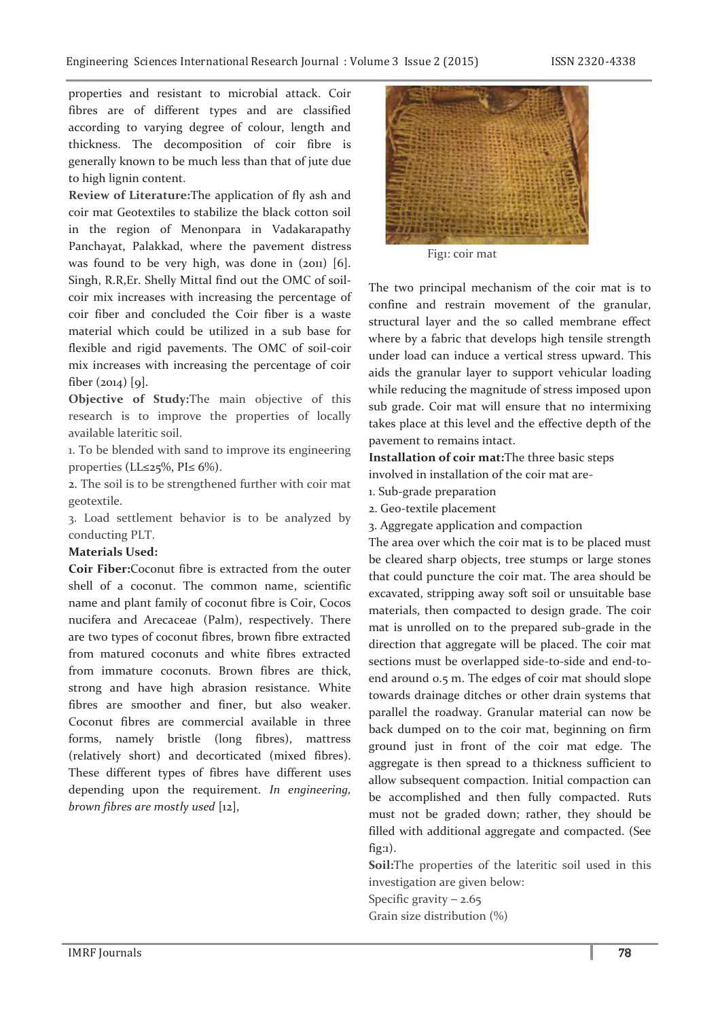properties and resistant to microbial attack. Coir fibres are of different types and are classified according to varying degree of colour, length and thickness. The decomposition of coir fibre is generally known to be much less than that of jute due to high lignin content.

**Review of Literature:**The application of fly ash and coir mat Geotextiles to stabilize the black cotton soil in the region of Menonpara in Vadakarapathy Panchayat, Palakkad, where the pavement distress was found to be very high, was done in (2011) [6]. Singh, R.R,Er. Shelly Mittal find out the OMC of soilcoir mix increases with increasing the percentage of coir fiber and concluded the Coir fiber is a waste material which could be utilized in a sub base for flexible and rigid pavements. The OMC of soil-coir mix increases with increasing the percentage of coir fiber  $(2014)$  [9].

**Objective of Study:**The main objective of this research is to improve the properties of locally available lateritic soil.

1. To be blended with sand to improve its engineering properties (LL≤25%, PI≤ 6%).

2. The soil is to be strengthened further with coir mat geotextile.

3. Load settlement behavior is to be analyzed by conducting PLT.

## **Materials Used:**

**Coir Fiber:**Coconut fibre is extracted from the outer shell of a coconut. The common name, scientific name and plant family of coconut fibre is Coir, Cocos nucifera and Arecaceae (Palm), respectively. There are two types of coconut fibres, brown fibre extracted from matured coconuts and white fibres extracted from immature coconuts. Brown fibres are thick, strong and have high abrasion resistance. White fibres are smoother and finer, but also weaker. Coconut fibres are commercial available in three forms, namely bristle (long fibres), mattress (relatively short) and decorticated (mixed fibres). These different types of fibres have different uses depending upon the requirement. *In engineering, brown fibres are mostly used* [12],



Fig1: coir mat

The two principal mechanism of the coir mat is to confine and restrain movement of the granular, structural layer and the so called membrane effect where by a fabric that develops high tensile strength under load can induce a vertical stress upward. This aids the granular layer to support vehicular loading while reducing the magnitude of stress imposed upon sub grade. Coir mat will ensure that no intermixing takes place at this level and the effective depth of the pavement to remains intact.

**Installation of coir mat:**The three basic steps involved in installation of the coir mat are-

- 1. Sub-grade preparation
- 2. Geo-textile placement
- 3. Aggregate application and compaction

The area over which the coir mat is to be placed must be cleared sharp objects, tree stumps or large stones that could puncture the coir mat. The area should be excavated, stripping away soft soil or unsuitable base materials, then compacted to design grade. The coir mat is unrolled on to the prepared sub-grade in the direction that aggregate will be placed. The coir mat sections must be overlapped side-to-side and end-toend around 0.5 m. The edges of coir mat should slope towards drainage ditches or other drain systems that parallel the roadway. Granular material can now be back dumped on to the coir mat, beginning on firm ground just in front of the coir mat edge. The aggregate is then spread to a thickness sufficient to allow subsequent compaction. Initial compaction can be accomplished and then fully compacted. Ruts must not be graded down; rather, they should be filled with additional aggregate and compacted. (See fig:1).

**Soil:**The properties of the lateritic soil used in this investigation are given below:

Specific gravity  $-2.65$ Grain size distribution (%)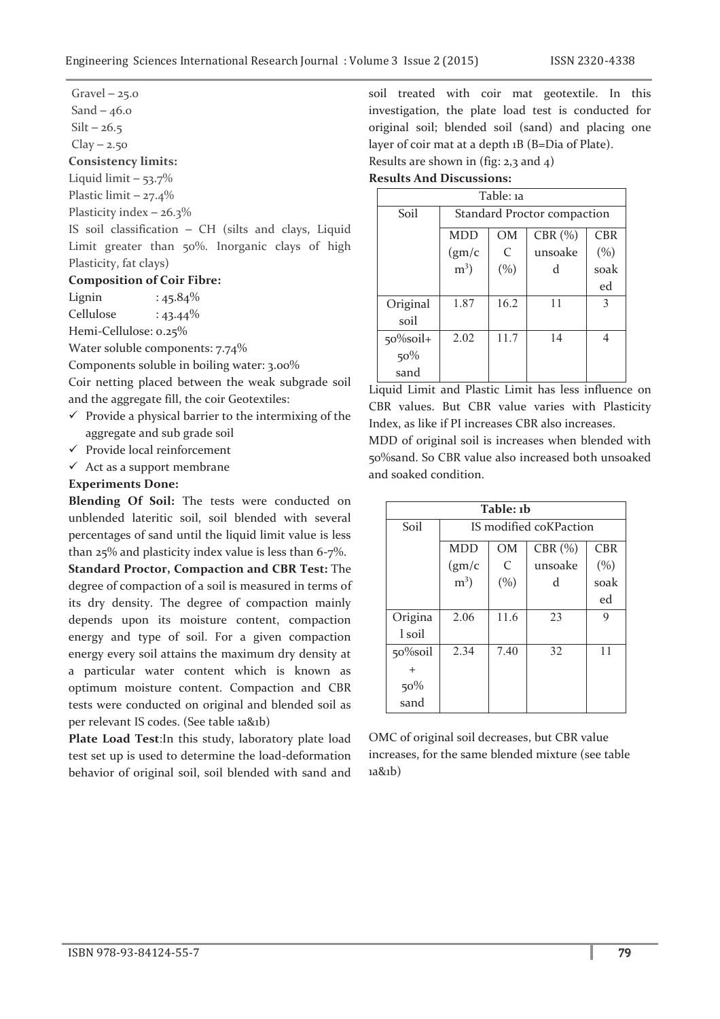$Gravel - 25.0$ 

Sand  $-46.0$ 

 $Silt - 26.5$ 

 $Clay - 2.50$ 

**Consistency limits:** 

Liquid limit  $-53.7\%$ 

Plastic limit - 27.4%

Plasticity index  $-26.3\%$ 

IS soil classification ─ CH (silts and clays, Liquid Limit greater than 50%. Inorganic clays of high Plasticity, fat clays)

## **Composition of Coir Fibre:**

Lignin :  $45.84\%$  $Cellulose : 43.44\%$ 

Hemi-Cellulose: 0.25%

Water soluble components: 7.74%

Components soluble in boiling water: 3.00%

Coir netting placed between the weak subgrade soil and the aggregate fill, the coir Geotextiles:

- $\checkmark$  Provide a physical barrier to the intermixing of the aggregate and sub grade soil
- $\checkmark$  Provide local reinforcement
- $\checkmark$  Act as a support membrane

## **Experiments Done:**

**Blending Of Soil:** The tests were conducted on unblended lateritic soil, soil blended with several percentages of sand until the liquid limit value is less than 25% and plasticity index value is less than 6-7%.

**Standard Proctor, Compaction and CBR Test:** The degree of compaction of a soil is measured in terms of its dry density. The degree of compaction mainly depends upon its moisture content, compaction energy and type of soil. For a given compaction energy every soil attains the maximum dry density at a particular water content which is known as optimum moisture content. Compaction and CBR tests were conducted on original and blended soil as per relevant IS codes. (See table 1a&1b)

**Plate Load Test**:In this study, laboratory plate load test set up is used to determine the load-deformation behavior of original soil, soil blended with sand and

soil treated with coir mat geotextile. In this investigation, the plate load test is conducted for original soil; blended soil (sand) and placing one layer of coir mat at a depth 1B (B=Dia of Plate). Results are shown in (fig:  $2,3$  and  $4$ )

#### **Results And Discussions:**

| Table: 1a    |                             |               |           |            |  |  |
|--------------|-----------------------------|---------------|-----------|------------|--|--|
| Soil         | Standard Proctor compaction |               |           |            |  |  |
|              | <b>MDD</b>                  | <b>OM</b>     | CBR $(%)$ | <b>CBR</b> |  |  |
|              | (gm/c)                      | $\mathcal{C}$ | unsoake   | (%)        |  |  |
|              | $m3$ )                      | (%)           | d         | soak       |  |  |
|              |                             |               |           | ed         |  |  |
| Original     | 1.87                        | 16.2          | 11        | 3          |  |  |
| soil         |                             |               |           |            |  |  |
| $50\%$ soil+ | 2.02                        | 11.7          | 14        | 4          |  |  |
| 50%          |                             |               |           |            |  |  |
| sand         |                             |               |           |            |  |  |

Liquid Limit and Plastic Limit has less influence on CBR values. But CBR value varies with Plasticity Index, as like if PI increases CBR also increases.

MDD of original soil is increases when blended with 50%sand. So CBR value also increased both unsoaked and soaked condition.

| Table: 1b |                        |               |         |            |  |  |
|-----------|------------------------|---------------|---------|------------|--|--|
| Soil      | IS modified coKPaction |               |         |            |  |  |
|           | <b>MDD</b>             | <b>OM</b>     | CBR (%) | <b>CBR</b> |  |  |
|           | (gm/c)                 | $\mathcal{C}$ | unsoake | (%)        |  |  |
|           | $m3$ )                 | (%)           | d       | soak       |  |  |
|           |                        |               |         | ed         |  |  |
| Origina   | 2.06                   | 11.6          | 23      | 9          |  |  |
| l soil    |                        |               |         |            |  |  |
| 50%soil   | 2.34                   | 7.40          | 32      | 11         |  |  |
|           |                        |               |         |            |  |  |
| 50%       |                        |               |         |            |  |  |
| sand      |                        |               |         |            |  |  |

OMC of original soil decreases, but CBR value increases, for the same blended mixture (see table 1a&1b)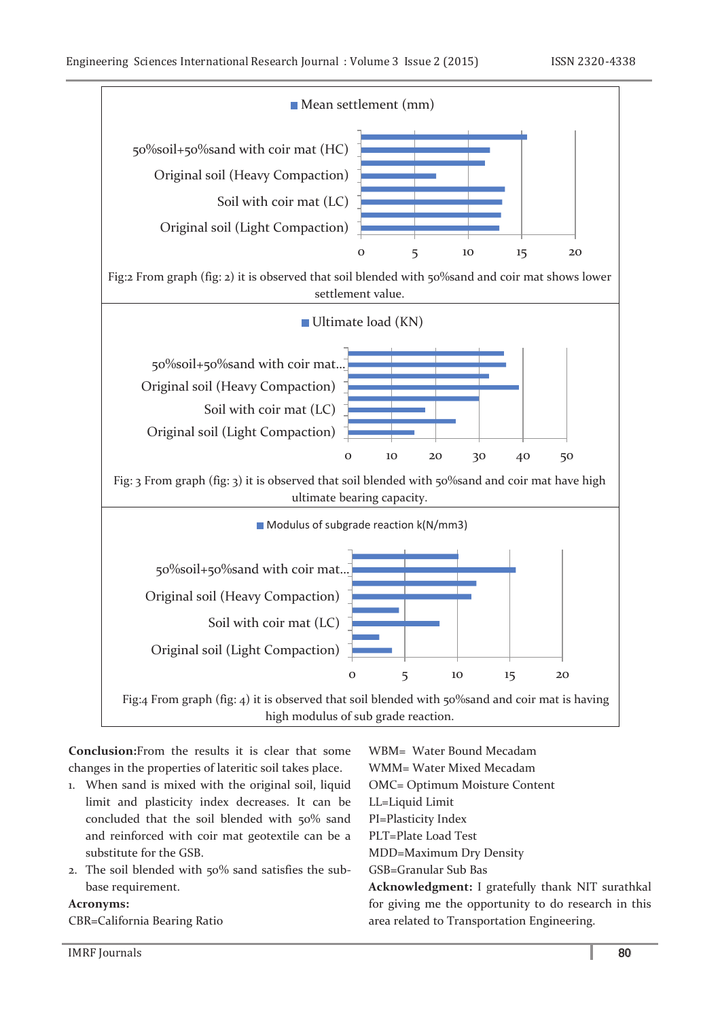

**Conclusion:**From the results it is clear that some changes in the properties of lateritic soil takes place.

- 1. When sand is mixed with the original soil, liquid limit and plasticity index decreases. It can be concluded that the soil blended with 50% sand and reinforced with coir mat geotextile can be a substitute for the GSB.
- 2. The soil blended with 50% sand satisfies the subbase requirement.

## **Acronyms:**

CBR=California Bearing Ratio

WBM= Water Bound Mecadam WMM= Water Mixed Mecadam OMC= Optimum Moisture Content LL=Liquid Limit PI=Plasticity Index PLT=Plate Load Test MDD=Maximum Dry Density GSB=Granular Sub Bas **Acknowledgment:** I gratefully thank NIT surathkal for giving me the opportunity to do research in this area related to Transportation Engineering.